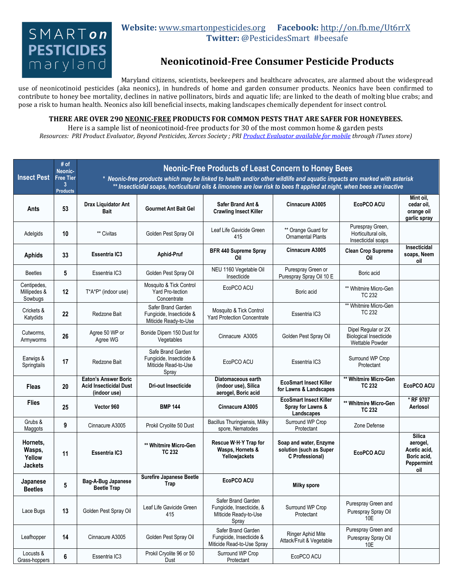## $SMART$ on **PESTICIDES** maryland

## **Website:** [www.smartonpesticides.org](http://www.smartonpesticides.org/) **Facebook:** <http://on.fb.me/Ut6rrX> **Twitter:** @PesticidesSmart #beesafe

## **Neonicotinoid-Free Consumer Pesticide Products**

Maryland citizens, scientists, beekeepers and healthcare advocates, are alarmed about the widespread

use of neonicotinoid pesticides (aka neonics), in hundreds of home and garden consumer products. Neonics have been confirmed to contribute to honey bee mortality, declines in native pollinators, birds and aquatic life; are linked to the death of molting blue crabs; and pose a risk to human health. Neonics also kill beneficial insects, making landscapes chemically dependent for insect control.

## **THERE ARE OVER 290 NEONIC-FREE PRODUCTS FOR COMMON PESTS THAT ARE SAFER FOR HONEYBEES.**

Here is a sample list of neonicotinoid-free products for 30 of the most common home & garden pests *Resources: PRI Product Evaluator, Beyond Pesticides, Xerces Society ; PR[I Product Evaluator available for mobile](mailto:https://itunes.apple.com/us/app/pri-evaluator/id838735016%3Fls=1%26mt=8http://) through iTunes store)*

| <b>Insect Pest</b>                             | # of<br>Neonic-<br><b>Free Tier</b><br>3<br><b>Products</b> | <b>Neonic-Free Products of Least Concern to Honey Bees</b><br>* Neonic-free products which may be linked to health and/or other wildlife and aquatic impacts are marked with asterisk<br>** Insecticidal soaps, horticultural oils & limonene are low risk to bees ft applied at night, when bees are inactive |                                                                                |                                                                                   |                                                                      |                                                                         |                                                                               |  |  |  |  |
|------------------------------------------------|-------------------------------------------------------------|----------------------------------------------------------------------------------------------------------------------------------------------------------------------------------------------------------------------------------------------------------------------------------------------------------------|--------------------------------------------------------------------------------|-----------------------------------------------------------------------------------|----------------------------------------------------------------------|-------------------------------------------------------------------------|-------------------------------------------------------------------------------|--|--|--|--|
| Ants                                           | 53                                                          | Drax Liquidator Ant<br><b>Bait</b>                                                                                                                                                                                                                                                                             | <b>Gourmet Ant Bait Gel</b>                                                    | Safer Brand Ant &<br><b>Crawling Insect Killer</b>                                | Cinnacure A3005                                                      | EcoPCO ACU                                                              | Mint oil,<br>cedar oil,<br>orange oil<br>garlic spray                         |  |  |  |  |
| Adelgids                                       | 10                                                          | ** Civitas                                                                                                                                                                                                                                                                                                     | Golden Pest Spray Oil                                                          | Leaf Life Gavicide Green<br>415                                                   | ** Orange Guard for<br><b>Ornamental Plants</b>                      | Purespray Green,<br>Horticultural oils,<br>Insecticidal soaps           |                                                                               |  |  |  |  |
| Aphids                                         | 33                                                          | <b>Essentria IC3</b>                                                                                                                                                                                                                                                                                           | Aphid-Pruf                                                                     | <b>BFR 440 Supreme Spray</b><br>Oil                                               | Cinnacure A3005                                                      | <b>Clean Crop Supreme</b><br>Oil                                        | Insecticidal<br>soaps, Neem<br>oil                                            |  |  |  |  |
| <b>Beetles</b>                                 | 5                                                           | Essentria IC3                                                                                                                                                                                                                                                                                                  | Golden Pest Spray Oil                                                          | NEU 1160 Vegetable Oil<br>Insecticide                                             | Purespray Green or<br>Purespray Spray Oil 10 E                       | Boric acid                                                              |                                                                               |  |  |  |  |
| Centipedes,<br>Millipedes &<br>Sowbugs         | 12                                                          | T*A*P* (indoor use)                                                                                                                                                                                                                                                                                            | Mosquito & Tick Control<br><b>Yard Pro-tection</b><br>Concentrate              | EcoPCO ACU                                                                        | Boric acid                                                           | ** Whitmire Micro-Gen<br>TC 232                                         |                                                                               |  |  |  |  |
| Crickets &<br>Katydids                         | 22                                                          | Redzone Bait                                                                                                                                                                                                                                                                                                   | Safer Brand Garden<br>Fungicide, Insecticide &<br>Miticide Ready-to-Use        | Mosquito & Tick Control<br><b>Yard Protection Concentrate</b>                     | Essentria IC3                                                        | ** Whitmire Micro-Gen<br><b>TC 232</b>                                  |                                                                               |  |  |  |  |
| Cutworms,<br>Armyworms                         | 26                                                          | Agree 50 WP or<br>Agree WG                                                                                                                                                                                                                                                                                     | Bonide Dipem 150 Dust for<br>Vegetables                                        | Cinnacure A3005                                                                   | Golden Pest Spray Oil                                                | Dipel Regular or 2X<br><b>Biological Insecticide</b><br>Wettable Powder |                                                                               |  |  |  |  |
| Earwigs &<br>Springtails                       | 17                                                          | Redzone Bait                                                                                                                                                                                                                                                                                                   | Safe Brand Garden<br>Fungicide, Insecticide &<br>Miticide Read-to-Use<br>Spray | EcoPCO ACU                                                                        | Essentria IC3                                                        | Surround WP Crop<br>Protectant                                          |                                                                               |  |  |  |  |
| Fleas                                          | 20                                                          | <b>Eaton's Answer Boric</b><br><b>Acid Insecticidal Dust</b><br>(indoor use)                                                                                                                                                                                                                                   | Dri-out Insecticide                                                            | Diatomaceous earth<br>(indoor use), Silica<br>aerogel, Boric acid                 | <b>EcoSmart Insect Killer</b><br>for Lawns & Landscapes              | ** Whitmire Micro-Gen<br><b>TC 232</b>                                  | EcoPCO ACU                                                                    |  |  |  |  |
| <b>Flies</b>                                   | 25                                                          | Vector 960                                                                                                                                                                                                                                                                                                     | <b>BMP 144</b>                                                                 | <b>Cinnacure A3005</b>                                                            | <b>EcoSmart Insect Killer</b><br>Spray for Lawns &<br>Landscapes     | ** Whitmire Micro-Gen<br><b>TC 232</b>                                  | * RF 9707<br>Aerlosol                                                         |  |  |  |  |
| Grubs &<br>Maggots                             | 9                                                           | Cinnacure A3005                                                                                                                                                                                                                                                                                                | Prokil Cryolite 50 Dust                                                        | Bacillus Thuringiensis, Milky<br>spore, Nematodes                                 | Surround WP Crop<br>Protectant                                       | Zone Defense                                                            |                                                                               |  |  |  |  |
| Hornets,<br>Wasps,<br>Yellow<br><b>Jackets</b> | 11                                                          | Essentria IC3                                                                                                                                                                                                                                                                                                  | ** Whitmire Micro-Gen<br><b>TC 232</b>                                         | Rescue W.H.Y Trap for<br>Wasps, Hornets &<br>Yellowjackets                        | Soap and water, Enzyme<br>solution (such as Super<br>C Professional) | <b>EcoPCO ACU</b>                                                       | <b>Silica</b><br>aerogel,<br>Acetic acid.<br>Boric acid.<br>Peppermint<br>oil |  |  |  |  |
| Japanese<br><b>Beetles</b>                     | 5                                                           | Bag-A-Bug Japanese<br><b>Beetle Trap</b>                                                                                                                                                                                                                                                                       | <b>Surefire Japanese Beetle</b><br>Trap                                        | EcoPCO ACU                                                                        | <b>Milky spore</b>                                                   |                                                                         |                                                                               |  |  |  |  |
| Lace Bugs                                      | 13                                                          | Golden Pest Spray Oil                                                                                                                                                                                                                                                                                          | Leaf Life Gavicide Green<br>415                                                | Safer Brand Garden<br>Fungicide, Insecticide, &<br>Miticide Ready-to-Use<br>Spray | Surround WP Crop<br>Protectant                                       | Purespray Green and<br>Purespray Spray Oil<br>10E                       |                                                                               |  |  |  |  |
| Leafhopper                                     | 14                                                          | Cinnacure A3005                                                                                                                                                                                                                                                                                                | Golden Pest Spray Oil                                                          | Safer Brand Garden<br>Fungicide, Insecticide &<br>Miticide Read-to-Use Spray      | Ringer Aphid Mite<br>Attack/Fruit & Vegetable                        | Purespray Green and<br>Purespray Spray Oil<br>10E                       |                                                                               |  |  |  |  |
| Locusts &<br>Grass-hoppers                     | 6                                                           | Essentria IC3                                                                                                                                                                                                                                                                                                  | Prokil Cryolite 96 or 50<br>Dust                                               | Surround WP Crop<br>Protectant                                                    | EcoPCO ACU                                                           |                                                                         |                                                                               |  |  |  |  |